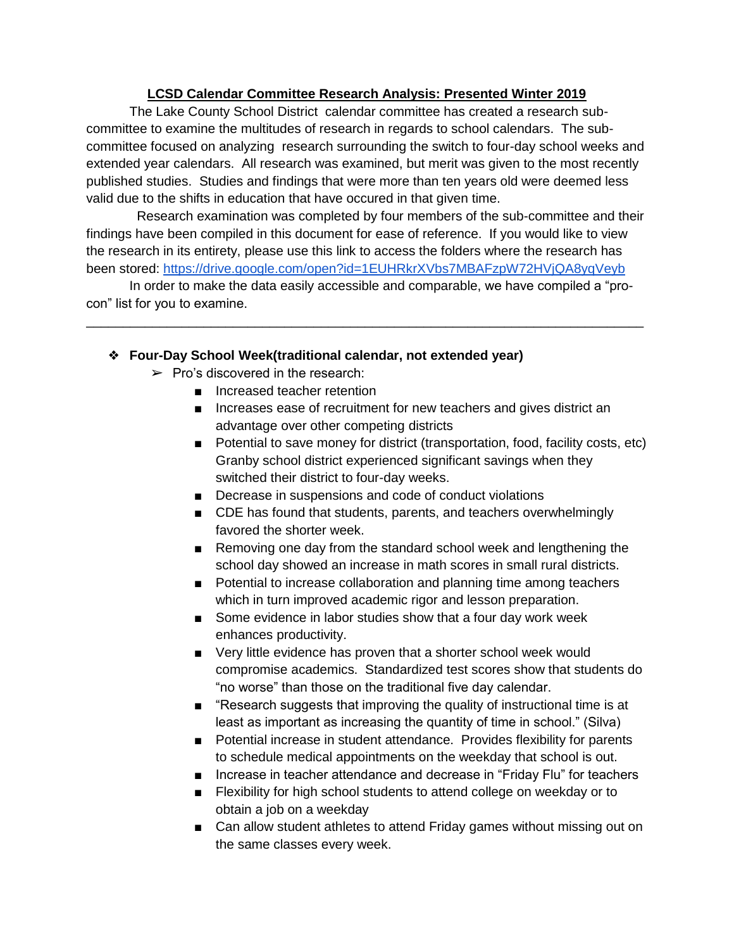## **LCSD Calendar Committee Research Analysis: Presented Winter 2019**

The Lake County School District calendar committee has created a research subcommittee to examine the multitudes of research in regards to school calendars. The subcommittee focused on analyzing research surrounding the switch to four-day school weeks and extended year calendars. All research was examined, but merit was given to the most recently published studies. Studies and findings that were more than ten years old were deemed less valid due to the shifts in education that have occured in that given time.

 Research examination was completed by four members of the sub-committee and their findings have been compiled in this document for ease of reference. If you would like to view the research in its entirety, please use this link to access the folders where the research has been stored:<https://drive.google.com/open?id=1EUHRkrXVbs7MBAFzpW72HVjQA8yqVeyb>

In order to make the data easily accessible and comparable, we have compiled a "procon" list for you to examine.

\_\_\_\_\_\_\_\_\_\_\_\_\_\_\_\_\_\_\_\_\_\_\_\_\_\_\_\_\_\_\_\_\_\_\_\_\_\_\_\_\_\_\_\_\_\_\_\_\_\_\_\_\_\_\_\_\_\_\_\_\_\_\_\_\_\_\_\_\_\_\_\_\_\_\_\_

## ❖ **Four-Day School Week(traditional calendar, not extended year)**

- $\triangleright$  Pro's discovered in the research:
	- Increased teacher retention
	- Increases ease of recruitment for new teachers and gives district an advantage over other competing districts
	- Potential to save money for district (transportation, food, facility costs, etc) Granby school district experienced significant savings when they switched their district to four-day weeks.
	- Decrease in suspensions and code of conduct violations
	- CDE has found that students, parents, and teachers overwhelmingly favored the shorter week.
	- Removing one day from the standard school week and lengthening the school day showed an increase in math scores in small rural districts.
	- Potential to increase collaboration and planning time among teachers which in turn improved academic rigor and lesson preparation.
	- Some evidence in labor studies show that a four day work week enhances productivity.
	- Very little evidence has proven that a shorter school week would compromise academics. Standardized test scores show that students do "no worse" than those on the traditional five day calendar.
	- "Research suggests that improving the quality of instructional time is at least as important as increasing the quantity of time in school." (Silva)
	- Potential increase in student attendance. Provides flexibility for parents to schedule medical appointments on the weekday that school is out.
	- Increase in teacher attendance and decrease in "Friday Flu" for teachers
	- Flexibility for high school students to attend college on weekday or to obtain a job on a weekday
	- Can allow student athletes to attend Friday games without missing out on the same classes every week.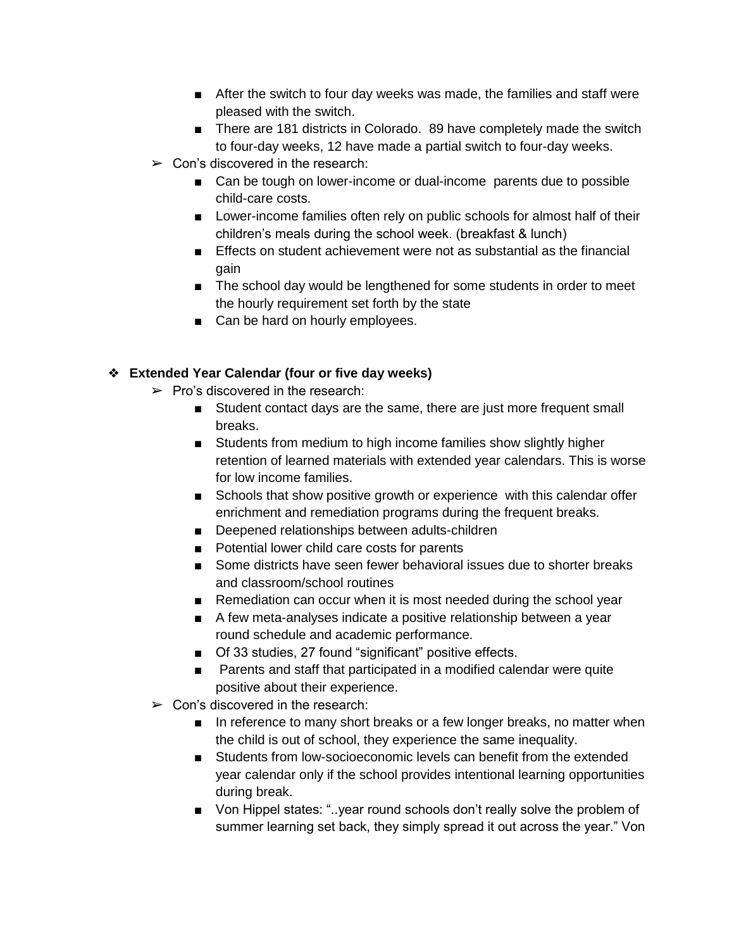- After the switch to four day weeks was made, the families and staff were pleased with the switch.
- There are 181 districts in Colorado. 89 have completely made the switch to four-day weeks, 12 have made a partial switch to four-day weeks.
- $\triangleright$  Con's discovered in the research:
	- Can be tough on lower-income or dual-income parents due to possible child-care costs.
	- Lower-income families often rely on public schools for almost half of their children's meals during the school week. (breakfast & lunch)
	- Effects on student achievement were not as substantial as the financial gain
	- The school day would be lengthened for some students in order to meet the hourly requirement set forth by the state
	- Can be hard on hourly employees.

## ❖ **Extended Year Calendar (four or five day weeks)**

- $\triangleright$  Pro's discovered in the research:
	- Student contact days are the same, there are just more frequent small breaks.
	- Students from medium to high income families show slightly higher retention of learned materials with extended year calendars. This is worse for low income families.
	- Schools that show positive growth or experience with this calendar offer enrichment and remediation programs during the frequent breaks.
	- Deepened relationships between adults-children
	- Potential lower child care costs for parents
	- Some districts have seen fewer behavioral issues due to shorter breaks and classroom/school routines
	- Remediation can occur when it is most needed during the school year
	- A few meta-analyses indicate a positive relationship between a year round schedule and academic performance.
	- Of 33 studies, 27 found "significant" positive effects.
	- Parents and staff that participated in a modified calendar were quite positive about their experience.
- $\triangleright$  Con's discovered in the research:
	- In reference to many short breaks or a few longer breaks, no matter when the child is out of school, they experience the same inequality.
	- Students from low-socioeconomic levels can benefit from the extended year calendar only if the school provides intentional learning opportunities during break.
	- Von Hippel states: "..year round schools don't really solve the problem of summer learning set back, they simply spread it out across the year." Von